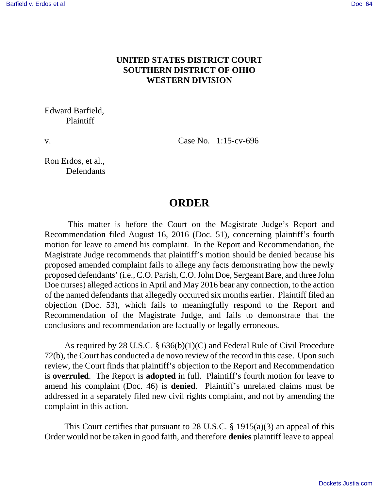## **UNITED STATES DISTRICT COURT SOUTHERN DISTRICT OF OHIO WESTERN DIVISION**

## Edward Barfield, Plaintiff

v. Case No. 1:15-cv-696

Ron Erdos, et al., **Defendants** 

## **ORDER**

 This matter is before the Court on the Magistrate Judge's Report and Recommendation filed August 16, 2016 (Doc. 51), concerning plaintiff's fourth motion for leave to amend his complaint. In the Report and Recommendation, the Magistrate Judge recommends that plaintiff's motion should be denied because his proposed amended complaint fails to allege any facts demonstrating how the newly proposed defendants' (i.e., C.O. Parish, C.O. John Doe, Sergeant Bare, and three John Doe nurses) alleged actions in April and May 2016 bear any connection, to the action of the named defendants that allegedly occurred six months earlier. Plaintiff filed an objection (Doc. 53), which fails to meaningfully respond to the Report and Recommendation of the Magistrate Judge, and fails to demonstrate that the conclusions and recommendation are factually or legally erroneous.

 As required by 28 U.S.C. § 636(b)(1)(C) and Federal Rule of Civil Procedure 72(b), the Court has conducted a de novo review of the record in this case. Upon such review, the Court finds that plaintiff's objection to the Report and Recommendation is **overruled**. The Report is **adopted** in full. Plaintiff's fourth motion for leave to amend his complaint (Doc. 46) is **denied**. Plaintiff's unrelated claims must be addressed in a separately filed new civil rights complaint, and not by amending the complaint in this action.

This Court certifies that pursuant to 28 U.S.C.  $\S$  1915(a)(3) an appeal of this Order would not be taken in good faith, and therefore **denies** plaintiff leave to appeal